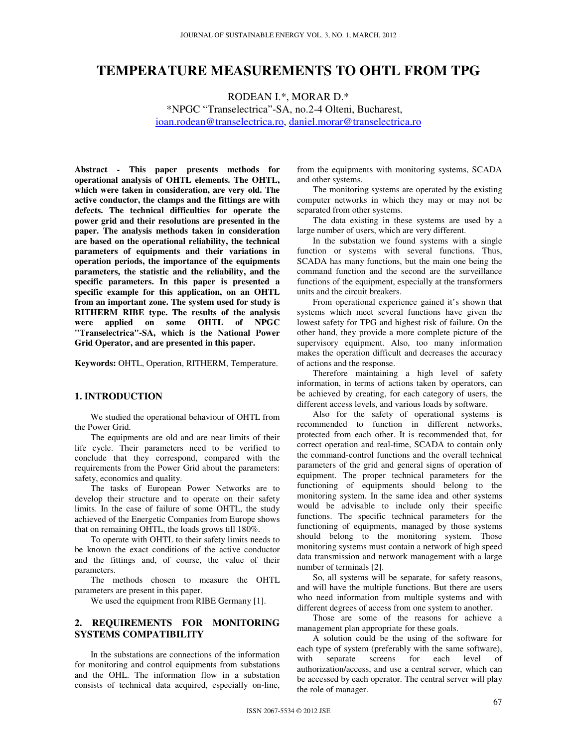# **TEMPERATURE MEASUREMENTS TO OHTL FROM TPG**

RODEAN I.\*, MORAR D.\*

\*NPGC "Transelectrica"-SA, no.2-4 Olteni, Bucharest, ioan.rodean@transelectrica.ro, daniel.morar@transelectrica.ro

**Abstract - This paper presents methods for operational analysis of OHTL elements. The OHTL, which were taken in consideration, are very old. The active conductor, the clamps and the fittings are with defects. The technical difficulties for operate the power grid and their resolutions are presented in the paper. The analysis methods taken in consideration are based on the operational reliability, the technical parameters of equipments and their variations in operation periods, the importance of the equipments parameters, the statistic and the reliability, and the specific parameters. In this paper is presented a specific example for this application, on an OHTL from an important zone. The system used for study is RITHERM RIBE type. The results of the analysis were applied on some OHTL of NPGC "Transelectrica"-SA, which is the National Power Grid Operator, and are presented in this paper.** 

**Keywords:** OHTL, Operation, RITHERM, Temperature.

## **1. INTRODUCTION**

We studied the operational behaviour of OHTL from the Power Grid.

The equipments are old and are near limits of their life cycle. Their parameters need to be verified to conclude that they correspond, compared with the requirements from the Power Grid about the parameters: safety, economics and quality.

The tasks of European Power Networks are to develop their structure and to operate on their safety limits. In the case of failure of some OHTL, the study achieved of the Energetic Companies from Europe shows that on remaining OHTL, the loads grows till 180%.

To operate with OHTL to their safety limits needs to be known the exact conditions of the active conductor and the fittings and, of course, the value of their parameters.

The methods chosen to measure the OHTL parameters are present in this paper.

We used the equipment from RIBE Germany [1].

#### **2. REQUIREMENTS FOR MONITORING SYSTEMS COMPATIBILITY**

In the substations are connections of the information for monitoring and control equipments from substations and the OHL. The information flow in a substation consists of technical data acquired, especially on-line,

from the equipments with monitoring systems, SCADA and other systems.

The monitoring systems are operated by the existing computer networks in which they may or may not be separated from other systems.

The data existing in these systems are used by a large number of users, which are very different.

In the substation we found systems with a single function or systems with several functions. Thus, SCADA has many functions, but the main one being the command function and the second are the surveillance functions of the equipment, especially at the transformers units and the circuit breakers.

From operational experience gained it's shown that systems which meet several functions have given the lowest safety for TPG and highest risk of failure. On the other hand, they provide a more complete picture of the supervisory equipment. Also, too many information makes the operation difficult and decreases the accuracy of actions and the response.

Therefore maintaining a high level of safety information, in terms of actions taken by operators, can be achieved by creating, for each category of users, the different access levels, and various loads by software.

Also for the safety of operational systems is recommended to function in different networks, protected from each other. It is recommended that, for correct operation and real-time, SCADA to contain only the command-control functions and the overall technical parameters of the grid and general signs of operation of equipment. The proper technical parameters for the functioning of equipments should belong to the monitoring system. In the same idea and other systems would be advisable to include only their specific functions. The specific technical parameters for the functioning of equipments, managed by those systems should belong to the monitoring system. Those monitoring systems must contain a network of high speed data transmission and network management with a large number of terminals [2].

So, all systems will be separate, for safety reasons, and will have the multiple functions. But there are users who need information from multiple systems and with different degrees of access from one system to another.

Those are some of the reasons for achieve a management plan appropriate for these goals.

A solution could be the using of the software for each type of system (preferably with the same software),<br>with separate screens for each level of  $s$ creens for authorization/access, and use a central server, which can be accessed by each operator. The central server will play the role of manager.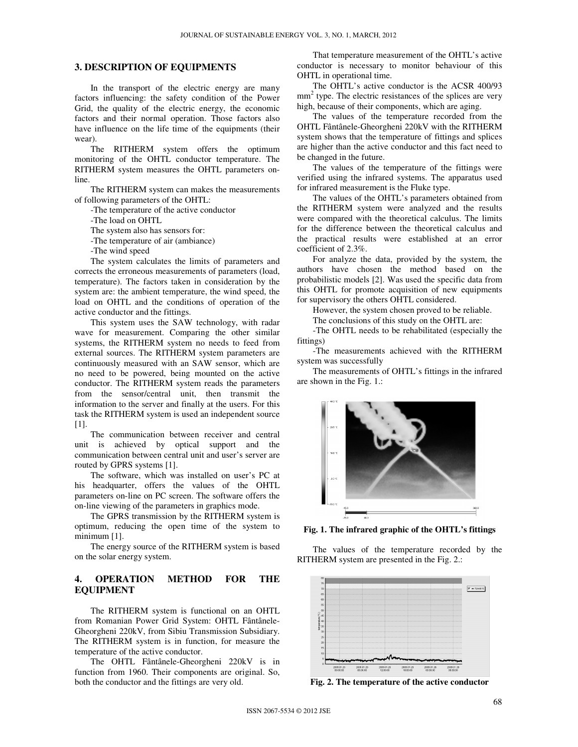#### **3. DESCRIPTION OF EQUIPMENTS**

In the transport of the electric energy are many factors influencing: the safety condition of the Power Grid, the quality of the electric energy, the economic factors and their normal operation. Those factors also have influence on the life time of the equipments (their wear).

The RITHERM system offers the optimum monitoring of the OHTL conductor temperature. The RITHERM system measures the OHTL parameters online.

The RITHERM system can makes the measurements of following parameters of the OHTL:

-The temperature of the active conductor

-The load on OHTL

The system also has sensors for:

-The temperature of air (ambiance)

-The wind speed

The system calculates the limits of parameters and corrects the erroneous measurements of parameters (load, temperature). The factors taken in consideration by the system are: the ambient temperature, the wind speed, the load on OHTL and the conditions of operation of the active conductor and the fittings.

This system uses the SAW technology, with radar wave for measurement. Comparing the other similar systems, the RITHERM system no needs to feed from external sources. The RITHERM system parameters are continuously measured with an SAW sensor, which are no need to be powered, being mounted on the active conductor. The RITHERM system reads the parameters from the sensor/central unit, then transmit the information to the server and finally at the users. For this task the RITHERM system is used an independent source [1].

The communication between receiver and central unit is achieved by optical support and the communication between central unit and user's server are routed by GPRS systems [1].

The software, which was installed on user's PC at his headquarter, offers the values of the OHTL parameters on-line on PC screen. The software offers the on-line viewing of the parameters in graphics mode.

The GPRS transmission by the RITHERM system is optimum, reducing the open time of the system to minimum [1].

The energy source of the RITHERM system is based on the solar energy system.

## **4. OPERATION METHOD FOR THE EQUIPMENT**

The RITHERM system is functional on an OHTL from Romanian Power Grid System: OHTL Fântânele-Gheorgheni 220kV, from Sibiu Transmission Subsidiary. The RITHERM system is in function, for measure the temperature of the active conductor.

The OHTL Fântânele-Gheorgheni 220kV is in function from 1960. Their components are original. So, both the conductor and the fittings are very old.

That temperature measurement of the OHTL's active conductor is necessary to monitor behaviour of this OHTL in operational time.

The OHTL's active conductor is the ACSR 400/93 mm<sup>2</sup> type. The electric resistances of the splices are very high, because of their components, which are aging.

The values of the temperature recorded from the OHTL Fântânele-Gheorgheni 220kV with the RITHERM system shows that the temperature of fittings and splices are higher than the active conductor and this fact need to be changed in the future.

The values of the temperature of the fittings were verified using the infrared systems. The apparatus used for infrared measurement is the Fluke type.

The values of the OHTL's parameters obtained from the RITHERM system were analyzed and the results were compared with the theoretical calculus. The limits for the difference between the theoretical calculus and the practical results were established at an error coefficient of 2.3%.

For analyze the data, provided by the system, the authors have chosen the method based on the probabilistic models [2]. Was used the specific data from this OHTL for promote acquisition of new equipments for supervisory the others OHTL considered.

However, the system chosen proved to be reliable.

The conclusions of this study on the OHTL are:

-The OHTL needs to be rehabilitated (especially the fittings)

-The measurements achieved with the RITHERM system was successfully

The measurements of OHTL's fittings in the infrared are shown in the Fig. 1.:



**Fig. 1. The infrared graphic of the OHTL's fittings**

The values of the temperature recorded by the RITHERM system are presented in the Fig. 2.:



**Fig. 2. The temperature of the active conductor**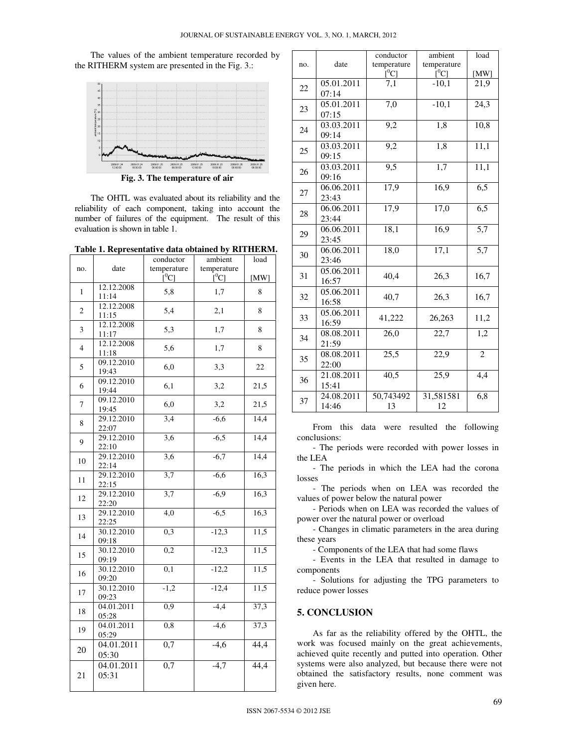The values of the ambient temperature recorded by the RITHERM system are presented in the Fig. 3.:



The OHTL was evaluated about its reliability and the reliability of each component, taking into account the number of failures of the equipment. The result of this evaluation is shown in table 1.

**Table 1. Representative data obtained by RITHERM.** 

|                |            | conductor           | ambient     | load |
|----------------|------------|---------------------|-------------|------|
| no.            | date       | temperature         | temperature |      |
|                |            | $\rm \bar{[}^{0}C]$ | [C]         | [MW] |
| 1              | 12.12.2008 | 5,8                 | 1,7         | 8    |
|                | 11:14      |                     |             |      |
| 2              | 12.12.2008 | 5,4                 | 2,1         | 8    |
|                | 11:15      |                     |             |      |
| 3              | 12.12.2008 | 5,3                 | 1,7         | 8    |
|                | 11:17      |                     |             |      |
| $\overline{4}$ | 12.12.2008 | 5,6                 | 1,7         | 8    |
|                | 11:18      |                     |             |      |
| 5              | 09.12.2010 | 6,0                 | 3,3         | 22   |
|                | 19:43      |                     |             |      |
| 6              | 09.12.2010 | 6,1                 | 3,2         | 21,5 |
|                | 19:44      |                     |             |      |
| 7              | 09.12.2010 | 6,0                 | 3,2         | 21,5 |
|                | 19:45      |                     |             |      |
| 8              | 29.12.2010 | 3,4                 | $-6,6$      | 14,4 |
|                | 22:07      |                     |             |      |
| 9              | 29.12.2010 | $\overline{3,6}$    | $-6,5$      | 14,4 |
|                | 22:10      |                     |             |      |
| 10             | 29.12.2010 | 3,6                 | $-6,7$      | 14,4 |
|                | 22:14      |                     |             |      |
| 11             | 29.12.2010 | 3,7                 | $-6,6$      | 16,3 |
|                | 22:15      |                     |             |      |
| 12             | 29.12.2010 | 3,7                 | $-6,9$      | 16,3 |
|                | 22:20      |                     |             |      |
| 13             | 29.12.2010 | 4,0                 | $-6,5$      | 16,3 |
|                | 22:25      |                     |             |      |
| 14             | 30.12.2010 | 0,3                 | $-12,3$     | 11,5 |
|                | 09:18      |                     |             |      |
| 15             | 30.12.2010 | 0,2                 | $-12,3$     | 11,5 |
|                | 09:19      |                     |             |      |
| 16             | 30.12.2010 | $\overline{0,1}$    | $-12,2$     | 11,5 |
|                | 09:20      |                     |             |      |
| 17             | 30.12.2010 | $-1,2$              | $-12,4$     | 11,5 |
|                | 09:23      |                     |             |      |
| 18             | 04.01.2011 | 0,9                 | $-4,4$      | 37,3 |
|                | 05:28      |                     |             |      |
| 19             | 04.01.2011 | 0, 8                | $-4,6$      | 37,3 |
|                | 05:29      |                     |             |      |
| 20             | 04.01.2011 | 0,7                 | $-4,6$      | 44,4 |
|                | 05:30      |                     |             |      |
| 21             | 04.01.2011 | 0,7                 | $-4,7$      | 44,4 |
|                | 05:31      |                     |             |      |
|                |            |                     |             |      |
|                |            |                     |             |      |

|     |                         | conductor         | ambient     | load              |
|-----|-------------------------|-------------------|-------------|-------------------|
| no. | date                    | temperature       | temperature |                   |
|     |                         | $[{}^0C]$         | $[^0C]$     | [MW]              |
| 22  | 05.01.2011              | 7,1               | $-10.1$     | 21,9              |
|     | 07:14                   |                   |             |                   |
| 23  | 05.01.2011              | 7,0               | $-10,1$     | $\overline{24,3}$ |
|     | 07:15                   |                   |             |                   |
| 24  | 03.03.2011              | 9,2               | 1,8         | 10,8              |
|     | 09:14                   |                   |             |                   |
| 25  | 03.03.2011              | $\overline{9,2}$  | 1,8         | $\overline{11,1}$ |
|     | 09:15                   |                   |             |                   |
| 26  | 03.03.2011              | 9,5               | 1,7         | 11,1              |
|     | 09:16                   |                   |             |                   |
| 27  | 06.06.2011              | 17,9              | 16,9        | 6,5               |
|     | 23:43                   |                   |             |                   |
| 28  | 06.06.2011              | 17,9              | 17,0        | 6,5               |
|     | 23:44                   |                   |             |                   |
| 29  | 06.06.2011              | 18,1              | 16,9        | 5,7               |
|     | 23:45                   |                   |             |                   |
|     | 06.06.2011              | 18,0              | 17,1        | $\overline{5,7}$  |
| 30  | 23:46                   |                   |             |                   |
| 31  | 05.06.2011              |                   |             |                   |
|     | 16:57                   | 40,4              | 26,3        | 16,7              |
| 32  | 05.06.2011              |                   |             |                   |
|     | 16:58                   | 40,7              | 26,3        | 16,7              |
| 33  | 05.06.2011              |                   |             |                   |
|     | 16:59                   | 41,222            | 26,263      | 11,2              |
| 34  | $08.\overline{08.2011}$ | $\overline{26,0}$ | 22,7        | 1,2               |
|     | 21:59                   |                   |             |                   |
| 35  | 08.08.2011              | $\overline{25,5}$ | 22,9        | $\overline{2}$    |
|     | 22:00                   |                   |             |                   |
| 36  | 21.08.2011              | $\overline{40,5}$ | 25,9        | 4,4               |
|     | 15:41                   |                   |             |                   |
|     | 24.08.2011              | 50,743492         | 31,581581   | 6,8               |
| 37  | 14:46                   | 13                | 12          |                   |

From this data were resulted the following conclusions:

- The periods were recorded with power losses in the LEA

- The periods in which the LEA had the corona losses

- The periods when on LEA was recorded the values of power below the natural power

- Periods when on LEA was recorded the values of power over the natural power or overload

- Changes in climatic parameters in the area during these years

- Components of the LEA that had some flaws

- Events in the LEA that resulted in damage to components

- Solutions for adjusting the TPG parameters to reduce power losses

### **5. CONCLUSION**

As far as the reliability offered by the OHTL, the work was focused mainly on the great achievements, achieved quite recently and putted into operation. Other systems were also analyzed, but because there were not obtained the satisfactory results, none comment was given here.